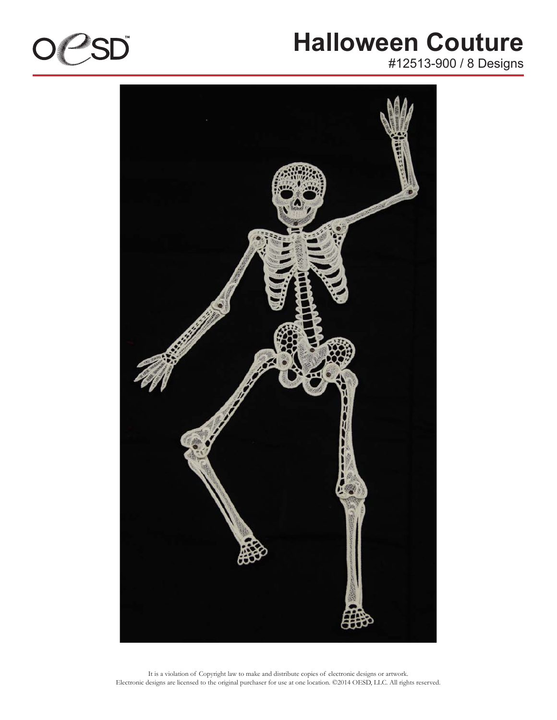

#12513-900 / 8 Designs

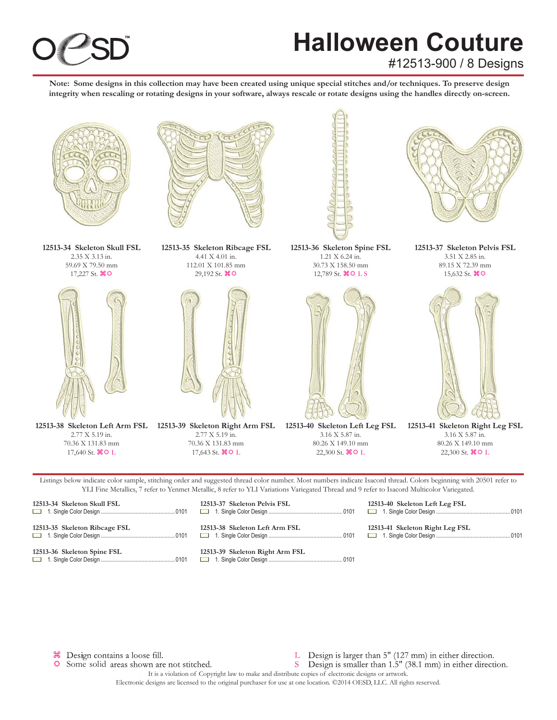

#12513-900 / 8 Designs

**Note: Some designs in this collection may have been created using unique special stitches and/or techniques. To preserve design integrity when rescaling or rotating designs in your software, always rescale or rotate designs using the handles directly on-screen.**



Listings below indicate color sample, stitching order and suggested thread color number. Most numbers indicate Isacord thread. Colors beginning with 20501 refer to YLI Fine Metallics, 7 refer to Yenmet Metallic, 8 refer to YLI Variations Variegated Thread and 9 refer to Isacord Multicolor Variegated.

| 12513-34 Skeleton Skull FSL   |  |
|-------------------------------|--|
| 12513-35 Skeleton Ribcage FSL |  |
| 12513-36 Skeleton Spine FSL   |  |

n 1. Single Color Design ................................................... 0101 **12513-38 Skeleton Left Arm FSL** n 1. Single Color Design ................................................... 0101 **12513-39 Skeleton Right Arm FSL**

**12513-37 Skeleton Pelvis FSL**

n 1. Single Color Design ................................................... 0101

**12513-40 Skeleton Left Leg FSL** n 1. Single Color Design ................................................... 0101

**12513-41 Skeleton Right Leg FSL** n 1. Single Color Design ................................................... 0101

<sup>36</sup> Design contains a loose fill.

Some solid areas shown are not stitched.

- L Design is larger than 5" (127 mm) in either direction.
- S Design is smaller than 1.5" (38.1 mm) in either direction.

It is a violation of Copyright law to make and distribute copies of electronic designs or artwork. Electronic designs are licensed to the original purchaser for use at one location. ©2014 OESD, LLC. All rights reserved.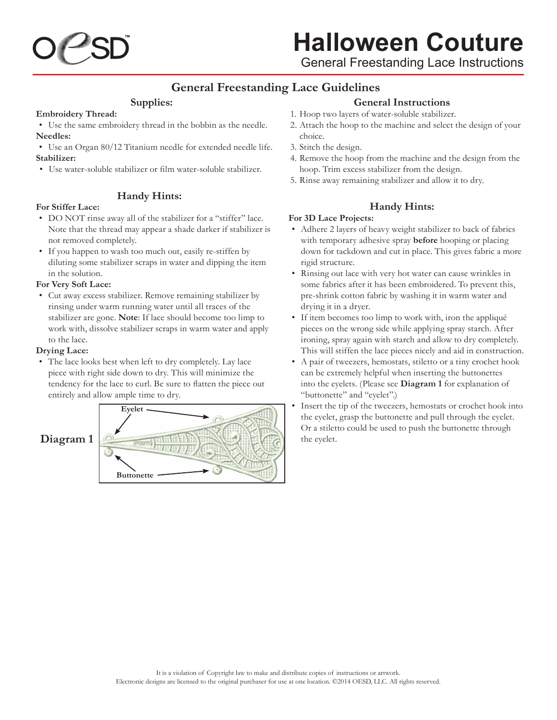

General Freestanding Lace Instructions

### **General Freestanding Lace Guidelines**

#### **Supplies:**

#### **Embroidery Thread:**

• Use the same embroidery thread in the bobbin as the needle. **Needles:**

• Use an Organ 80/12 Titanium needle for extended needle life. **Stabilizer:**

• Use water-soluble stabilizer or film water-soluble stabilizer.

#### **Handy Hints:**

#### **For Stiffer Lace:**

- DO NOT rinse away all of the stabilizer for a "stiffer" lace. Note that the thread may appear a shade darker if stabilizer is not removed completely.
- If you happen to wash too much out, easily re-stiffen by diluting some stabilizer scraps in water and dipping the item in the solution.

#### **For Very Soft Lace:**

• Cut away excess stabilizer. Remove remaining stabilizer by rinsing under warm running water until all traces of the stabilizer are gone. **Note**: If lace should become too limp to work with, dissolve stabilizer scraps in warm water and apply to the lace.

#### **Drying Lace:**

• The lace looks best when left to dry completely. Lay lace piece with right side down to dry. This will minimize the tendency for the lace to curl. Be sure to flatten the piece out entirely and allow ample time to dry.



#### **General Instructions**

- 1. Hoop two layers of water-soluble stabilizer.
- 2. Attach the hoop to the machine and select the design of your choice.
- 3. Stitch the design.
- 4. Remove the hoop from the machine and the design from the hoop. Trim excess stabilizer from the design.
- 5. Rinse away remaining stabilizer and allow it to dry.

#### **Handy Hints:**

#### **For 3D Lace Projects:**

- • Adhere 2 layers of heavy weight stabilizer to back of fabrics with temporary adhesive spray **before** hooping or placing down for tackdown and cut in place. This gives fabric a more rigid structure.
- Rinsing out lace with very hot water can cause wrinkles in some fabrics after it has been embroidered. To prevent this, pre-shrink cotton fabric by washing it in warm water and drying it in a dryer.
- If item becomes too limp to work with, iron the appliqué pieces on the wrong side while applying spray starch. After ironing, spray again with starch and allow to dry completely. This will stiffen the lace pieces nicely and aid in construction.
- A pair of tweezers, hemostats, stiletto or a tiny crochet hook can be extremely helpful when inserting the buttonettes into the eyelets. (Please see **Diagram 1** for explanation of "buttonette" and "eyelet".)
- Insert the tip of the tweezers, hemostats or crochet hook into the eyelet, grasp the buttonette and pull through the eyelet. Or a stiletto could be used to push the buttonette through the eyelet.